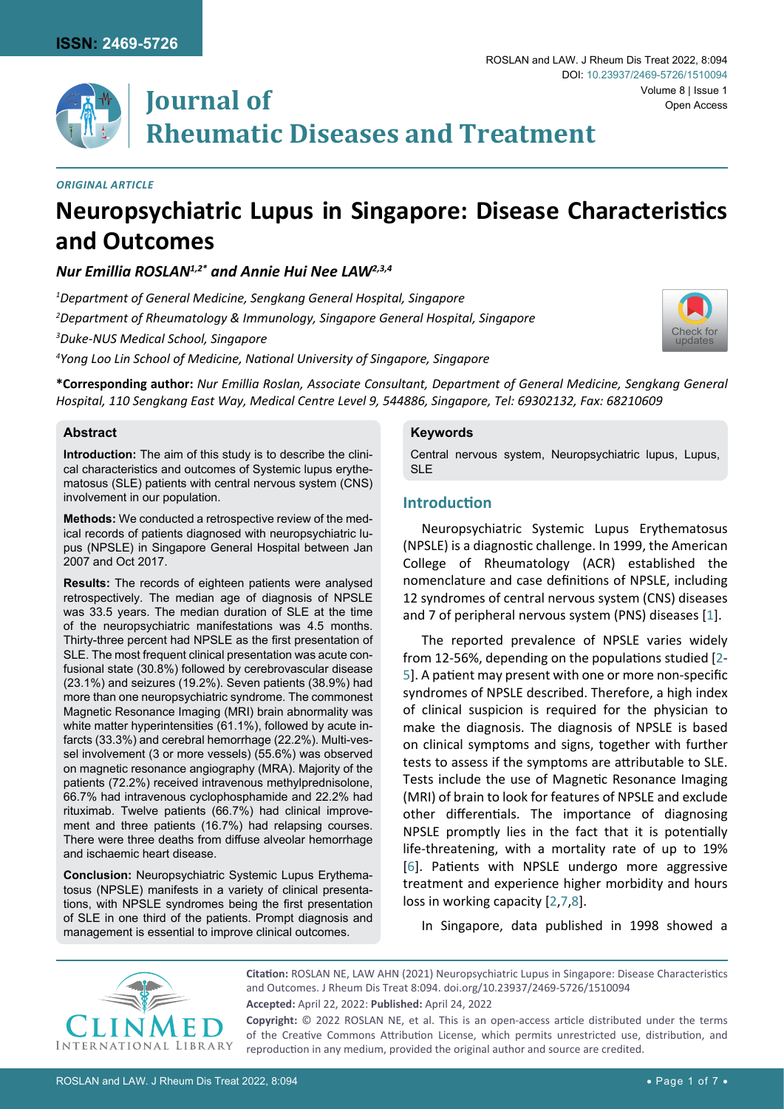

# **Journal of Rheumatic Diseases and Treatment**

#### *Original Article*

## **Neuropsychiatric Lupus in Singapore: Disease Characteristics and Outcomes**

*Nur Emillia ROSLAN1,2\* and Annie Hui Nee LAW2,3,4*

*1 Department of General Medicine, Sengkang General Hospital, Singapore*

*2 Department of Rheumatology & Immunology, Singapore General Hospital, Singapore* 

*3 Duke-NUS Medical School, Singapore*

*4 Yong Loo Lin School of Medicine, National University of Singapore, Singapore*



**\*Corresponding author:** *Nur Emillia Roslan, Associate Consultant, Department of General Medicine, Sengkang General Hospital, 110 Sengkang East Way, Medical Centre Level 9, 544886, Singapore, Tel: 69302132, Fax: 68210609*

#### **Abstract**

**Introduction:** The aim of this study is to describe the clinical characteristics and outcomes of Systemic lupus erythematosus (SLE) patients with central nervous system (CNS) involvement in our population.

**Methods:** We conducted a retrospective review of the medical records of patients diagnosed with neuropsychiatric lupus (NPSLE) in Singapore General Hospital between Jan 2007 and Oct 2017.

**Results:** The records of eighteen patients were analysed retrospectively. The median age of diagnosis of NPSLE was 33.5 years. The median duration of SLE at the time of the neuropsychiatric manifestations was 4.5 months. Thirty-three percent had NPSLE as the first presentation of SLE. The most frequent clinical presentation was acute confusional state (30.8%) followed by cerebrovascular disease (23.1%) and seizures (19.2%). Seven patients (38.9%) had more than one neuropsychiatric syndrome. The commonest Magnetic Resonance Imaging (MRI) brain abnormality was white matter hyperintensities (61.1%), followed by acute infarcts (33.3%) and cerebral hemorrhage (22.2%). Multi-vessel involvement (3 or more vessels) (55.6%) was observed on magnetic resonance angiography (MRA). Majority of the patients (72.2%) received intravenous methylprednisolone, 66.7% had intravenous cyclophosphamide and 22.2% had rituximab. Twelve patients (66.7%) had clinical improvement and three patients (16.7%) had relapsing courses. There were three deaths from diffuse alveolar hemorrhage and ischaemic heart disease.

**Conclusion:** Neuropsychiatric Systemic Lupus Erythematosus (NPSLE) manifests in a variety of clinical presentations, with NPSLE syndromes being the first presentation of SLE in one third of the patients. Prompt diagnosis and management is essential to improve clinical outcomes.

#### **Keywords**

Central nervous system, Neuropsychiatric lupus, Lupus, SLE

## **Introduction**

Neuropsychiatric Systemic Lupus Erythematosus (NPSLE) is a diagnostic challenge. In 1999, the American College of Rheumatology (ACR) established the nomenclature and case definitions of NPSLE, including 12 syndromes of central nervous system (CNS) diseases and 7 of peripheral nervous system (PNS) diseases [[1](#page-5-0)].

The reported prevalence of NPSLE varies widely from 12-56%, depending on the populations studied [[2](#page-5-1)- [5](#page-5-2)]. A patient may present with one or more non-specific syndromes of NPSLE described. Therefore, a high index of clinical suspicion is required for the physician to make the diagnosis. The diagnosis of NPSLE is based on clinical symptoms and signs, together with further tests to assess if the symptoms are attributable to SLE. Tests include the use of Magnetic Resonance Imaging (MRI) of brain to look for features of NPSLE and exclude other differentials. The importance of diagnosing NPSLE promptly lies in the fact that it is potentially life-threatening, with a mortality rate of up to 19% [[6](#page-5-3)]. Patients with NPSLE undergo more aggressive treatment and experience higher morbidity and hours loss in working capacity [[2](#page-5-1),[7](#page-5-4)[,8\]](#page-5-5).

In Singapore, data published in 1998 showed a



**Citation:** ROSLAN NE, LAW AHN (2021) Neuropsychiatric Lupus in Singapore: Disease Characteristics and Outcomes. J Rheum Dis Treat 8:094. [doi.org/10.23937/2469-5726/1510094](https://doi.org/10.23937/2469-5726/1510094) **Accepted:** April 22, 2022: **Published:** April 24, 2022 **Copyright:** © 2022 ROSLAN NE, et al. This is an open-access article distributed under the terms

of the Creative Commons Attribution License, which permits unrestricted use, distribution, and reproduction in any medium, provided the original author and source are credited.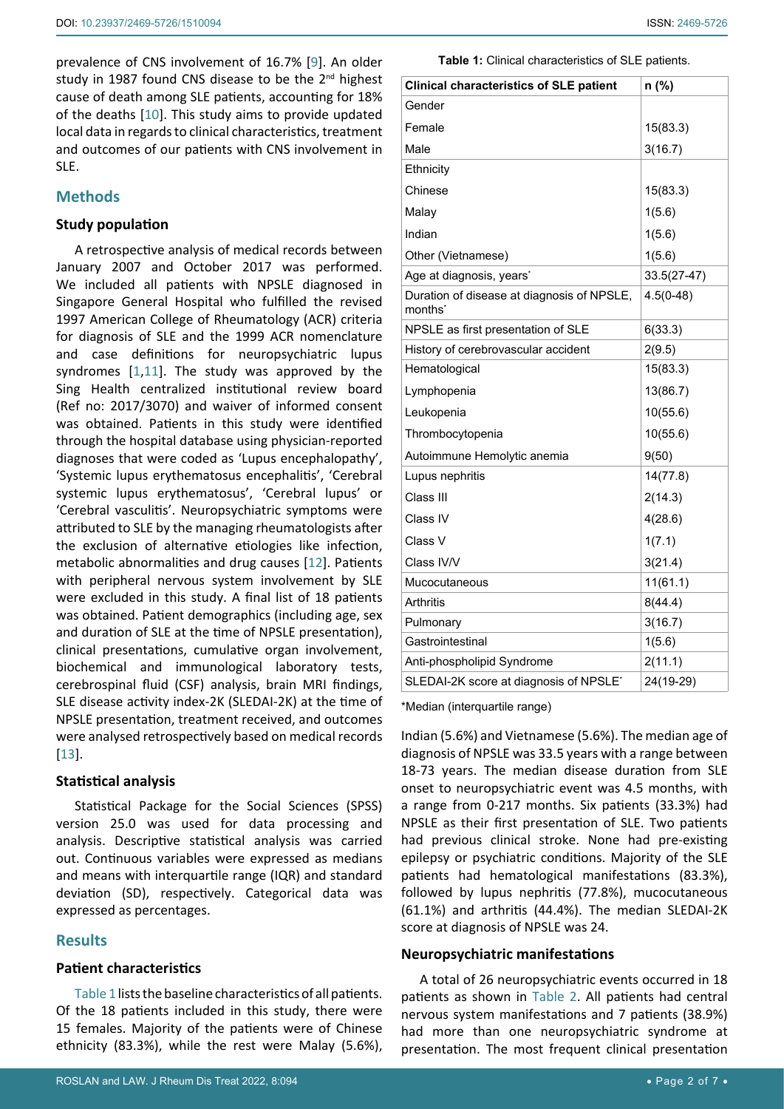prevalence of CNS involvement of 16.7% [[9\]](#page-5-6). An older study in 1987 found CNS disease to be the 2<sup>nd</sup> highest cause of death among SLE patients, accounting for 18% of the deaths [[10\]](#page-5-7). This study aims to provide updated local data in regards to clinical characteristics, treatment and outcomes of our patients with CNS involvement in SLE.

## **Methods**

#### **Study population**

A retrospective analysis of medical records between January 2007 and October 2017 was performed. We included all patients with NPSLE diagnosed in Singapore General Hospital who fulfilled the revised 1997 American College of Rheumatology (ACR) criteria for diagnosis of SLE and the 1999 ACR nomenclature and case definitions for neuropsychiatric lupus syndromes [[1](#page-5-0)[,11](#page-5-8)]. The study was approved by the Sing Health centralized institutional review board (Ref no: 2017/3070) and waiver of informed consent was obtained. Patients in this study were identified through the hospital database using physician-reported diagnoses that were coded as 'Lupus encephalopathy', 'Systemic lupus erythematosus encephalitis', 'Cerebral systemic lupus erythematosus', 'Cerebral lupus' or 'Cerebral vasculitis'. Neuropsychiatric symptoms were attributed to SLE by the managing rheumatologists after the exclusion of alternative etiologies like infection, metabolic abnormalities and drug causes [[12](#page-5-9)]. Patients with peripheral nervous system involvement by SLE were excluded in this study. A final list of 18 patients was obtained. Patient demographics (including age, sex and duration of SLE at the time of NPSLE presentation), clinical presentations, cumulative organ involvement, biochemical and immunological laboratory tests, cerebrospinal fluid (CSF) analysis, brain MRI findings, SLE disease activity index-2K (SLEDAI-2K) at the time of NPSLE presentation, treatment received, and outcomes were analysed retrospectively based on medical records [[13](#page-5-10)].

#### **Statistical analysis**

Statistical Package for the Social Sciences (SPSS) version 25.0 was used for data processing and analysis. Descriptive statistical analysis was carried out. Continuous variables were expressed as medians and means with interquartile range (IQR) and standard deviation (SD), respectively. Categorical data was expressed as percentages.

#### **Results**

#### **Patient characteristics**

[Table 1](#page-1-0) lists the baseline characteristics of all patients. Of the 18 patients included in this study, there were 15 females. Majority of the patients were of Chinese ethnicity (83.3%), while the rest were Malay (5.6%), <span id="page-1-0"></span>**Table 1:** Clinical characteristics of SLE patients.

| <b>Clinical characteristics of SLE patient</b>                    | n (%)       |
|-------------------------------------------------------------------|-------------|
| Gender                                                            |             |
| Female                                                            | 15(83.3)    |
| Male                                                              | 3(16.7)     |
| Ethnicity                                                         |             |
| Chinese                                                           | 15(83.3)    |
| Malay                                                             | 1(5.6)      |
| Indian                                                            | 1(5.6)      |
| Other (Vietnamese)                                                | 1(5.6)      |
| Age at diagnosis, years <sup>*</sup>                              | 33.5(27-47) |
| Duration of disease at diagnosis of NPSLE,<br>months <sup>*</sup> | $4.5(0-48)$ |
| NPSLE as first presentation of SLE                                | 6(33.3)     |
| History of cerebrovascular accident                               | 2(9.5)      |
| Hematological                                                     | 15(83.3)    |
| Lymphopenia                                                       | 13(86.7)    |
| Leukopenia                                                        | 10(55.6)    |
| Thrombocytopenia                                                  | 10(55.6)    |
| Autoimmune Hemolytic anemia                                       | 9(50)       |
| Lupus nephritis                                                   | 14(77.8)    |
| Class III                                                         | 2(14.3)     |
| Class IV                                                          | 4(28.6)     |
| Class V                                                           | 1(7.1)      |
| Class IV/V                                                        | 3(21.4)     |
| Mucocutaneous                                                     | 11(61.1)    |
| Arthritis                                                         | 8(44.4)     |
| Pulmonary                                                         | 3(16.7)     |
| Gastrointestinal                                                  | 1(5.6)      |
| Anti-phospholipid Syndrome                                        | 2(11.1)     |
| SLEDAI-2K score at diagnosis of NPSLE*                            | 24(19-29)   |

\*Median (interquartile range)

Indian (5.6%) and Vietnamese (5.6%). The median age of diagnosis of NPSLE was 33.5 years with a range between 18-73 years. The median disease duration from SLE onset to neuropsychiatric event was 4.5 months, with a range from 0-217 months. Six patients (33.3%) had NPSLE as their first presentation of SLE. Two patients had previous clinical stroke. None had pre-existing epilepsy or psychiatric conditions. Majority of the SLE patients had hematological manifestations (83.3%), followed by lupus nephritis (77.8%), mucocutaneous (61.1%) and arthritis (44.4%). The median SLEDAI-2K score at diagnosis of NPSLE was 24.

## **Neuropsychiatric manifestations**

A total of 26 neuropsychiatric events occurred in 18 patients as shown in [Table 2](#page-2-0). All patients had central nervous system manifestations and 7 patients (38.9%) had more than one neuropsychiatric syndrome at presentation. The most frequent clinical presentation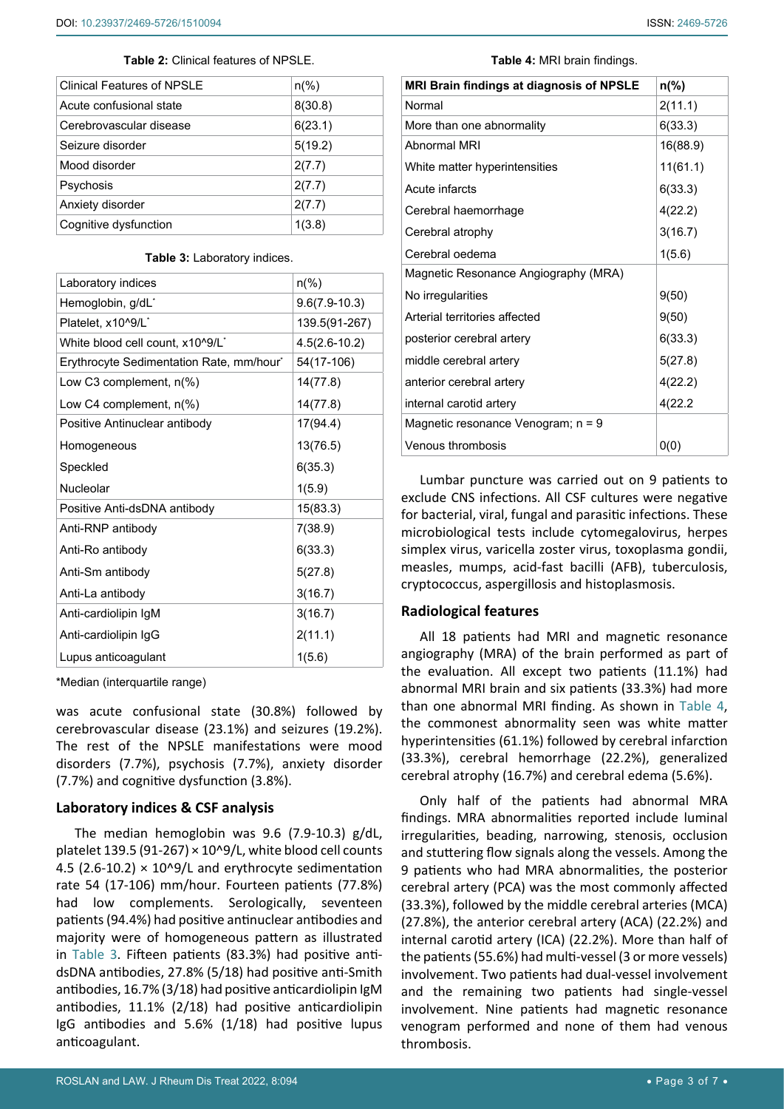<span id="page-2-0"></span>

| <b>Clinical Features of NPSLE</b> | $n\frac{6}{6}$ |
|-----------------------------------|----------------|
| Acute confusional state           | 8(30.8)        |
| Cerebrovascular disease           | 6(23.1)        |
| Seizure disorder                  | 5(19.2)        |
| Mood disorder                     | 2(7.7)         |
| Psychosis                         | 2(7.7)         |
| Anxiety disorder                  | 2(7.7)         |
| Cognitive dysfunction             | 1(3.8)         |

#### <span id="page-2-2"></span>**Table 3:** Laboratory indices.

| Laboratory indices                           | $n\frac{6}{6}$    |
|----------------------------------------------|-------------------|
| Hemoglobin, g/dL <sup>*</sup>                | $9.6(7.9-10.3)$   |
| Platelet, x10^9/L <sup>*</sup>               | 139.5(91-267)     |
| White blood cell count, x10^9/L <sup>*</sup> | $4.5(2.6 - 10.2)$ |
| Erythrocyte Sedimentation Rate, mm/hour*     | 54(17-106)        |
| Low C3 complement, n(%)                      | 14(77.8)          |
| Low C4 complement, n(%)                      | 14(77.8)          |
| Positive Antinuclear antibody                | 17(94.4)          |
| Homogeneous                                  | 13(76.5)          |
| Speckled                                     | 6(35.3)           |
| Nucleolar                                    | 1(5.9)            |
| Positive Anti-dsDNA antibody                 | 15(83.3)          |
| Anti-RNP antibody                            | 7(38.9)           |
| Anti-Ro antibody                             | 6(33.3)           |
| Anti-Sm antibody                             | 5(27.8)           |
| Anti-La antibody                             | 3(16.7)           |
| Anti-cardiolipin IgM                         | 3(16.7)           |
| Anti-cardiolipin IgG                         | 2(11.1)           |
| Lupus anticoagulant                          | 1(5.6)            |

\*Median (interquartile range)

was acute confusional state (30.8%) followed by cerebrovascular disease (23.1%) and seizures (19.2%). The rest of the NPSLE manifestations were mood disorders (7.7%), psychosis (7.7%), anxiety disorder (7.7%) and cognitive dysfunction (3.8%).

#### **Laboratory indices & CSF analysis**

The median hemoglobin was 9.6 (7.9-10.3) g/dL, platelet 139.5 (91-267)  $\times$  10^9/L, white blood cell counts 4.5 (2.6-10.2)  $\times$  10^9/L and erythrocyte sedimentation rate 54 (17-106) mm/hour. Fourteen patients (77.8%) had low complements. Serologically, seventeen patients (94.4%) had positive antinuclear antibodies and majority were of homogeneous pattern as illustrated in [Table 3](#page-2-2). Fifteen patients (83.3%) had positive antidsDNA antibodies, 27.8% (5/18) had positive anti-Smith antibodies, 16.7% (3/18) had positive anticardiolipin IgM antibodies, 11.1% (2/18) had positive anticardiolipin IgG antibodies and 5.6% (1/18) had positive lupus anticoagulant.

<span id="page-2-1"></span>**Table 4:** MRI brain findings.

| MRI Brain findings at diagnosis of NPSLE | $n\frac{9}{6}$ |
|------------------------------------------|----------------|
| Normal                                   | 2(11.1)        |
| More than one abnormality                | 6(33.3)        |
| Abnormal MRI                             | 16(88.9)       |
| White matter hyperintensities            | 11(61.1)       |
| Acute infarcts                           | 6(33.3)        |
| Cerebral haemorrhage                     | 4(22.2)        |
| Cerebral atrophy                         | 3(16.7)        |
| Cerebral oedema                          | 1(5.6)         |
| Magnetic Resonance Angiography (MRA)     |                |
| No irregularities                        | 9(50)          |
| Arterial territories affected            | 9(50)          |
| posterior cerebral artery                | 6(33.3)        |
| middle cerebral artery                   | 5(27.8)        |
| anterior cerebral artery                 | 4(22.2)        |
| internal carotid artery                  | 4(22.2)        |
| Magnetic resonance Venogram; n = 9       |                |
| Venous thrombosis                        | 0(0)           |

Lumbar puncture was carried out on 9 patients to exclude CNS infections. All CSF cultures were negative for bacterial, viral, fungal and parasitic infections. These microbiological tests include cytomegalovirus, herpes simplex virus, varicella zoster virus, toxoplasma gondii, measles, mumps, acid-fast bacilli (AFB), tuberculosis, cryptococcus, aspergillosis and histoplasmosis.

#### **Radiological features**

All 18 patients had MRI and magnetic resonance angiography (MRA) of the brain performed as part of the evaluation. All except two patients (11.1%) had abnormal MRI brain and six patients (33.3%) had more than one abnormal MRI finding. As shown in [Table 4](#page-2-1), the commonest abnormality seen was white matter hyperintensities (61.1%) followed by cerebral infarction (33.3%), cerebral hemorrhage (22.2%), generalized cerebral atrophy (16.7%) and cerebral edema (5.6%).

Only half of the patients had abnormal MRA findings. MRA abnormalities reported include luminal irregularities, beading, narrowing, stenosis, occlusion and stuttering flow signals along the vessels. Among the 9 patients who had MRA abnormalities, the posterior cerebral artery (PCA) was the most commonly affected (33.3%), followed by the middle cerebral arteries (MCA) (27.8%), the anterior cerebral artery (ACA) (22.2%) and internal carotid artery (ICA) (22.2%). More than half of the patients (55.6%) had multi-vessel (3 or more vessels) involvement. Two patients had dual-vessel involvement and the remaining two patients had single-vessel involvement. Nine patients had magnetic resonance venogram performed and none of them had venous thrombosis.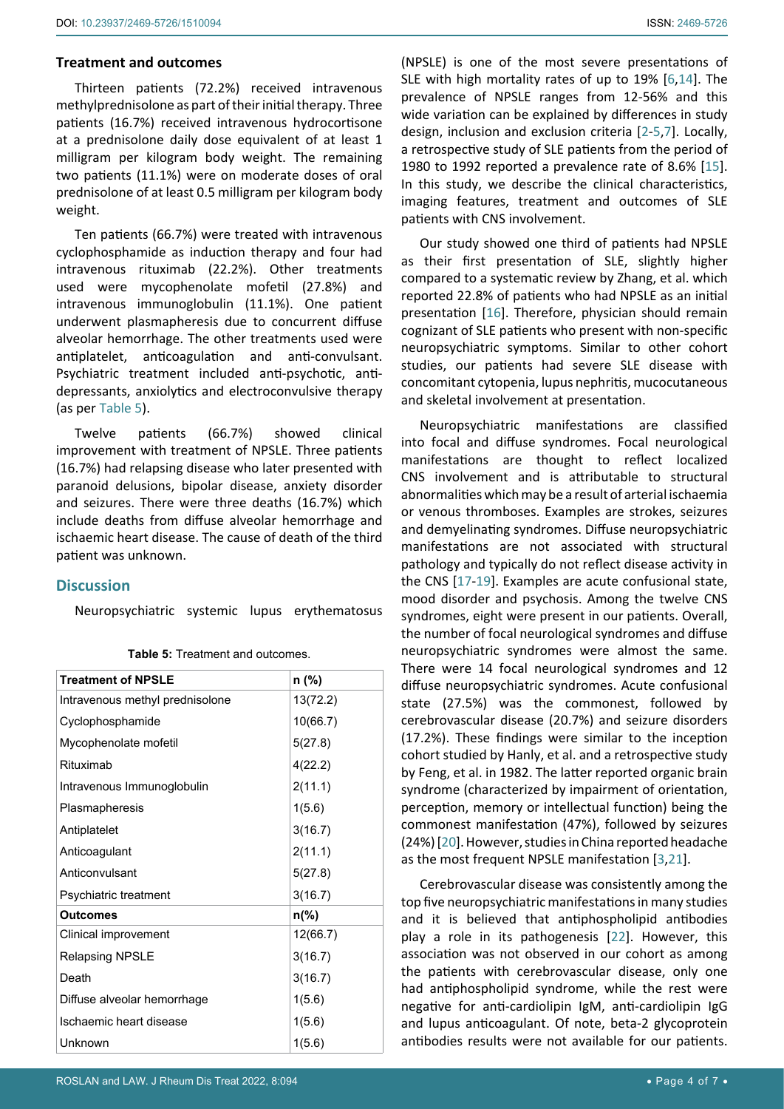#### **Treatment and outcomes**

Thirteen patients (72.2%) received intravenous methylprednisolone as part of their initial therapy. Three patients (16.7%) received intravenous hydrocortisone at a prednisolone daily dose equivalent of at least 1 milligram per kilogram body weight. The remaining two patients (11.1%) were on moderate doses of oral prednisolone of at least 0.5 milligram per kilogram body weight.

Ten patients (66.7%) were treated with intravenous cyclophosphamide as induction therapy and four had intravenous rituximab (22.2%). Other treatments used were mycophenolate mofetil (27.8%) and intravenous immunoglobulin (11.1%). One patient underwent plasmapheresis due to concurrent diffuse alveolar hemorrhage. The other treatments used were antiplatelet, anticoagulation and anti-convulsant. Psychiatric treatment included anti-psychotic, antidepressants, anxiolytics and electroconvulsive therapy (as per [Table 5](#page-3-0)).

Twelve patients (66.7%) showed clinical improvement with treatment of NPSLE. Three patients (16.7%) had relapsing disease who later presented with paranoid delusions, bipolar disease, anxiety disorder and seizures. There were three deaths (16.7%) which include deaths from diffuse alveolar hemorrhage and ischaemic heart disease. The cause of death of the third patient was unknown.

## **Discussion**

Neuropsychiatric systemic lupus erythematosus

| <b>Treatment of NPSLE</b>       | $n$ (%)        |
|---------------------------------|----------------|
| Intravenous methyl prednisolone | 13(72.2)       |
| Cyclophosphamide                | 10(66.7)       |
| Mycophenolate mofetil           | 5(27.8)        |
| Rituximab                       | 4(22.2)        |
| Intravenous Immunoglobulin      | 2(11.1)        |
| Plasmapheresis                  | 1(5.6)         |
| Antiplatelet                    | 3(16.7)        |
| Anticoagulant                   | 2(11.1)        |
| Anticonvulsant                  | 5(27.8)        |
| Psychiatric treatment           | 3(16.7)        |
| <b>Outcomes</b>                 | $n\frac{9}{6}$ |
| Clinical improvement            | 12(66.7)       |
| Relapsing NPSLE                 | 3(16.7)        |
| Death                           | 3(16.7)        |
| Diffuse alveolar hemorrhage     | 1(5.6)         |
| Ischaemic heart disease         | 1(5.6)         |
| Unknown                         | 1(5.6)         |

<span id="page-3-0"></span>**Table 5:** Treatment and outcomes.

(NPSLE) is one of the most severe presentations of SLE with high mortality rates of up to 19% [[6,](#page-5-3)[14](#page-5-11)]. The prevalence of NPSLE ranges from 12-56% and this wide variation can be explained by differences in study design, inclusion and exclusion criteria [[2-](#page-5-1)[5](#page-5-2)[,7](#page-5-4)]. Locally, a retrospective study of SLE patients from the period of 1980 to 1992 reported a prevalence rate of 8.6% [[15\]](#page-5-12). In this study, we describe the clinical characteristics, imaging features, treatment and outcomes of SLE patients with CNS involvement.

Our study showed one third of patients had NPSLE as their first presentation of SLE, slightly higher compared to a systematic review by Zhang, et al. which reported 22.8% of patients who had NPSLE as an initial presentation [[16](#page-5-13)]. Therefore, physician should remain cognizant of SLE patients who present with non-specific neuropsychiatric symptoms. Similar to other cohort studies, our patients had severe SLE disease with concomitant cytopenia, lupus nephritis, mucocutaneous and skeletal involvement at presentation.

Neuropsychiatric manifestations are classified into focal and diffuse syndromes. Focal neurological manifestations are thought to reflect localized CNS involvement and is attributable to structural abnormalities which may be a result of arterial ischaemia or venous thromboses. Examples are strokes, seizures and demyelinating syndromes. Diffuse neuropsychiatric manifestations are not associated with structural pathology and typically do not reflect disease activity in the CNS [[17](#page-5-14)-[19\]](#page-6-0). Examples are acute confusional state, mood disorder and psychosis. Among the twelve CNS syndromes, eight were present in our patients. Overall, the number of focal neurological syndromes and diffuse neuropsychiatric syndromes were almost the same. There were 14 focal neurological syndromes and 12 diffuse neuropsychiatric syndromes. Acute confusional state (27.5%) was the commonest, followed by cerebrovascular disease (20.7%) and seizure disorders (17.2%). These findings were similar to the inception cohort studied by Hanly, et al. and a retrospective study by Feng, et al. in 1982. The latter reported organic brain syndrome (characterized by impairment of orientation, perception, memory or intellectual function) being the commonest manifestation (47%), followed by seizures (24%) [[20](#page-6-1)]. However, studies in China reported headache as the most frequent NPSLE manifestation [[3,](#page-5-15)[21\]](#page-6-2).

Cerebrovascular disease was consistently among the top five neuropsychiatric manifestations in many studies and it is believed that antiphospholipid antibodies play a role in its pathogenesis [[22](#page-6-3)]. However, this association was not observed in our cohort as among the patients with cerebrovascular disease, only one had antiphospholipid syndrome, while the rest were negative for anti-cardiolipin IgM, anti-cardiolipin IgG and lupus anticoagulant. Of note, beta-2 glycoprotein antibodies results were not available for our patients.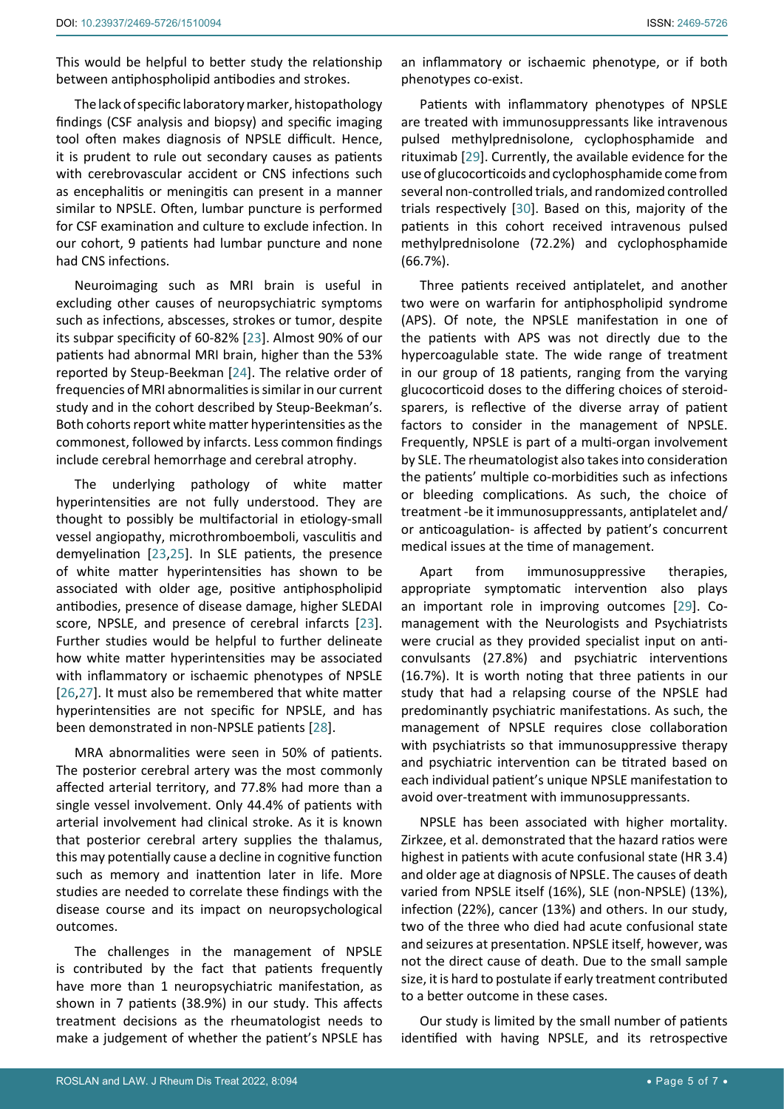This would be helpful to better study the relationship between antiphospholipid antibodies and strokes.

The lack of specific laboratory marker, histopathology findings (CSF analysis and biopsy) and specific imaging tool often makes diagnosis of NPSLE difficult. Hence, it is prudent to rule out secondary causes as patients with cerebrovascular accident or CNS infections such as encephalitis or meningitis can present in a manner similar to NPSLE. Often, lumbar puncture is performed for CSF examination and culture to exclude infection. In our cohort, 9 patients had lumbar puncture and none had CNS infections.

Neuroimaging such as MRI brain is useful in excluding other causes of neuropsychiatric symptoms such as infections, abscesses, strokes or tumor, despite its subpar specificity of 60-82% [[23\]](#page-6-6). Almost 90% of our patients had abnormal MRI brain, higher than the 53% reported by Steup-Beekman [[24](#page-6-7)]. The relative order of frequencies of MRI abnormalities is similar in our current study and in the cohort described by Steup-Beekman's. Both cohorts report white matter hyperintensities as the commonest, followed by infarcts. Less common findings include cerebral hemorrhage and cerebral atrophy.

The underlying pathology of white matter hyperintensities are not fully understood. They are thought to possibly be multifactorial in etiology-small vessel angiopathy, microthromboemboli, vasculitis and demyelination [[23](#page-6-6)[,25](#page-6-8)]. In SLE patients, the presence of white matter hyperintensities has shown to be associated with older age, positive antiphospholipid antibodies, presence of disease damage, higher SLEDAI score, NPSLE, and presence of cerebral infarcts [[23](#page-6-6)]. Further studies would be helpful to further delineate how white matter hyperintensities may be associated with inflammatory or ischaemic phenotypes of NPSLE [[26](#page-6-9),[27](#page-6-10)]. It must also be remembered that white matter hyperintensities are not specific for NPSLE, and has been demonstrated in non-NPSLE patients [[28\]](#page-6-11).

MRA abnormalities were seen in 50% of patients. The posterior cerebral artery was the most commonly affected arterial territory, and 77.8% had more than a single vessel involvement. Only 44.4% of patients with arterial involvement had clinical stroke. As it is known that posterior cerebral artery supplies the thalamus, this may potentially cause a decline in cognitive function such as memory and inattention later in life. More studies are needed to correlate these findings with the disease course and its impact on neuropsychological outcomes.

The challenges in the management of NPSLE is contributed by the fact that patients frequently have more than 1 neuropsychiatric manifestation, as shown in 7 patients (38.9%) in our study. This affects treatment decisions as the rheumatologist needs to make a judgement of whether the patient's NPSLE has

an inflammatory or ischaemic phenotype, or if both phenotypes co-exist.

Patients with inflammatory phenotypes of NPSLE are treated with immunosuppressants like intravenous pulsed methylprednisolone, cyclophosphamide and rituximab [[29\]](#page-6-4). Currently, the available evidence for the use of glucocorticoids and cyclophosphamide come from several non-controlled trials, and randomized controlled trials respectively [[30](#page-6-5)]. Based on this, majority of the patients in this cohort received intravenous pulsed methylprednisolone (72.2%) and cyclophosphamide (66.7%).

Three patients received antiplatelet, and another two were on warfarin for antiphospholipid syndrome (APS). Of note, the NPSLE manifestation in one of the patients with APS was not directly due to the hypercoagulable state. The wide range of treatment in our group of 18 patients, ranging from the varying glucocorticoid doses to the differing choices of steroidsparers, is reflective of the diverse array of patient factors to consider in the management of NPSLE. Frequently, NPSLE is part of a multi-organ involvement by SLE. The rheumatologist also takes into consideration the patients' multiple co-morbidities such as infections or bleeding complications. As such, the choice of treatment -be it immunosuppressants, antiplatelet and/ or anticoagulation- is affected by patient's concurrent medical issues at the time of management.

Apart from immunosuppressive therapies, appropriate symptomatic intervention also plays an important role in improving outcomes [[29\]](#page-6-4). Comanagement with the Neurologists and Psychiatrists were crucial as they provided specialist input on anticonvulsants (27.8%) and psychiatric interventions (16.7%). It is worth noting that three patients in our study that had a relapsing course of the NPSLE had predominantly psychiatric manifestations. As such, the management of NPSLE requires close collaboration with psychiatrists so that immunosuppressive therapy and psychiatric intervention can be titrated based on each individual patient's unique NPSLE manifestation to avoid over-treatment with immunosuppressants.

NPSLE has been associated with higher mortality. Zirkzee, et al. demonstrated that the hazard ratios were highest in patients with acute confusional state (HR 3.4) and older age at diagnosis of NPSLE. The causes of death varied from NPSLE itself (16%), SLE (non-NPSLE) (13%), infection (22%), cancer (13%) and others. In our study, two of the three who died had acute confusional state and seizures at presentation. NPSLE itself, however, was not the direct cause of death. Due to the small sample size, it is hard to postulate if early treatment contributed to a better outcome in these cases.

Our study is limited by the small number of patients identified with having NPSLE, and its retrospective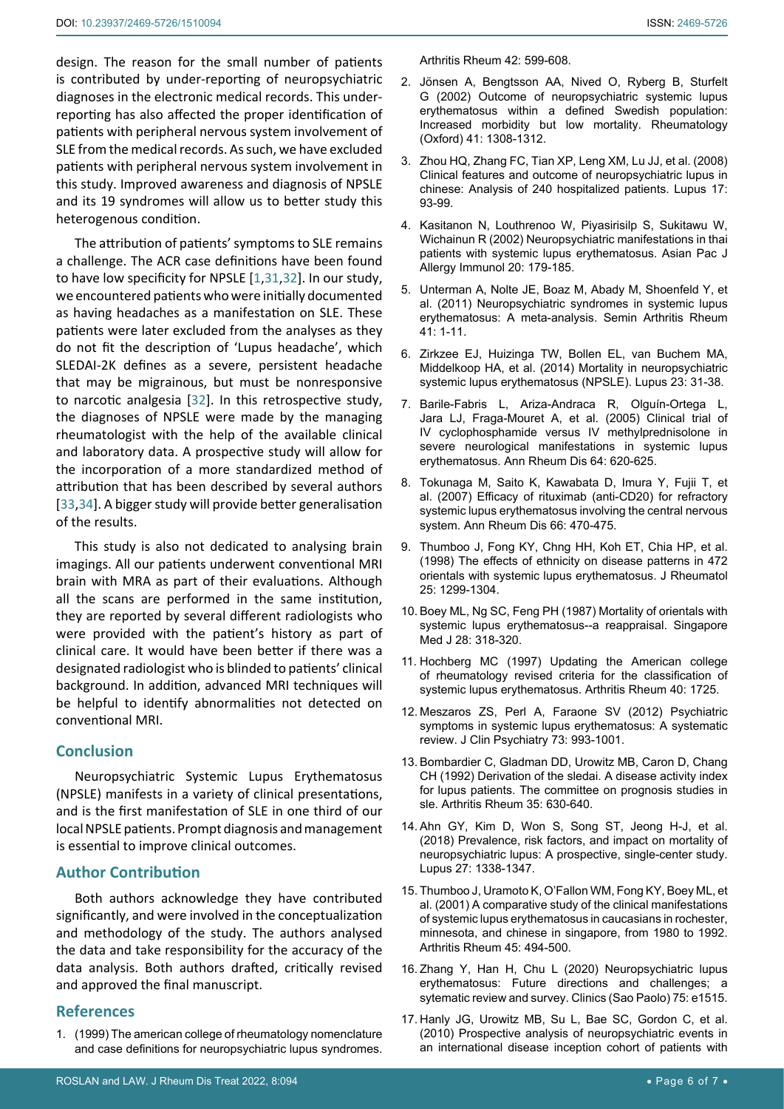design. The reason for the small number of patients is contributed by under-reporting of neuropsychiatric diagnoses in the electronic medical records. This underreporting has also affected the proper identification of patients with peripheral nervous system involvement of SLE from the medical records. As such, we have excluded patients with peripheral nervous system involvement in this study. Improved awareness and diagnosis of NPSLE and its 19 syndromes will allow us to better study this heterogenous condition.

The attribution of patients' symptoms to SLE remains a challenge. The ACR case definitions have been found to have low specificity for NPSLE [[1](#page-5-0),[31](#page-6-12),[32](#page-6-13)]. In our study, we encountered patients who were initially documented as having headaches as a manifestation on SLE. These patients were later excluded from the analyses as they do not fit the description of 'Lupus headache', which SLEDAI-2K defines as a severe, persistent headache that may be migrainous, but must be nonresponsive to narcotic analgesia [[32](#page-6-13)]. In this retrospective study, the diagnoses of NPSLE were made by the managing rheumatologist with the help of the available clinical and laboratory data. A prospective study will allow for the incorporation of a more standardized method of attribution that has been described by several authors [[33](#page-6-14),[34](#page-6-15)]. A bigger study will provide better generalisation of the results.

This study is also not dedicated to analysing brain imagings. All our patients underwent conventional MRI brain with MRA as part of their evaluations. Although all the scans are performed in the same institution, they are reported by several different radiologists who were provided with the patient's history as part of clinical care. It would have been better if there was a designated radiologist who is blinded to patients' clinical background. In addition, advanced MRI techniques will be helpful to identify abnormalities not detected on conventional MRI.

#### **Conclusion**

Neuropsychiatric Systemic Lupus Erythematosus (NPSLE) manifests in a variety of clinical presentations, and is the first manifestation of SLE in one third of our local NPSLE patients. Prompt diagnosis and management is essential to improve clinical outcomes.

## **Author Contribution**

Both authors acknowledge they have contributed significantly, and were involved in the conceptualization and methodology of the study. The authors analysed the data and take responsibility for the accuracy of the data analysis. Both authors drafted, critically revised and approved the final manuscript.

#### **References**

<span id="page-5-0"></span>1. [\(1999\) The american college of rheumatology nomenclature](https://pubmed.ncbi.nlm.nih.gov/10211873/)  [and case definitions for neuropsychiatric lupus syndromes.](https://pubmed.ncbi.nlm.nih.gov/10211873/)  <span id="page-5-1"></span>[Arthritis Rheum 42: 599-608.](https://pubmed.ncbi.nlm.nih.gov/10211873/)

- 2. [Jönsen A, Bengtsson AA, Nived O, Ryberg B, Sturfelt](https://pubmed.ncbi.nlm.nih.gov/12422005/)  [G \(2002\) Outcome of neuropsychiatric systemic lupus](https://pubmed.ncbi.nlm.nih.gov/12422005/)  [erythematosus within a defined Swedish population:](https://pubmed.ncbi.nlm.nih.gov/12422005/)  [Increased morbidity but low mortality. Rheumatology](https://pubmed.ncbi.nlm.nih.gov/12422005/)  [\(Oxford\) 41: 1308-1312.](https://pubmed.ncbi.nlm.nih.gov/12422005/)
- <span id="page-5-15"></span>3. [Zhou HQ, Zhang FC, Tian XP, Leng XM, Lu JJ, et al. \(2008\)](https://pubmed.ncbi.nlm.nih.gov/18250131/)  [Clinical features and outcome of neuropsychiatric lupus in](https://pubmed.ncbi.nlm.nih.gov/18250131/)  [chinese: Analysis of 240 hospitalized patients. Lupus 17:](https://pubmed.ncbi.nlm.nih.gov/18250131/)  [93-99.](https://pubmed.ncbi.nlm.nih.gov/18250131/)
- 4. [Kasitanon N, Louthrenoo W, Piyasirisilp S, Sukitawu W,](https://pubmed.ncbi.nlm.nih.gov/12587842/)  [Wichainun R \(2002\) Neuropsychiatric manifestations in thai](https://pubmed.ncbi.nlm.nih.gov/12587842/)  [patients with systemic lupus erythematosus. Asian Pac J](https://pubmed.ncbi.nlm.nih.gov/12587842/)  [Allergy Immunol 20: 179-185.](https://pubmed.ncbi.nlm.nih.gov/12587842/)
- <span id="page-5-2"></span>5. [Unterman A, Nolte JE, Boaz M, Abady M, Shoenfeld Y, et](https://pubmed.ncbi.nlm.nih.gov/20965549/)  [al. \(2011\) Neuropsychiatric syndromes in systemic lupus](https://pubmed.ncbi.nlm.nih.gov/20965549/)  [erythematosus: A meta-analysis. Semin Arthritis Rheum](https://pubmed.ncbi.nlm.nih.gov/20965549/)  [41: 1-11.](https://pubmed.ncbi.nlm.nih.gov/20965549/)
- <span id="page-5-3"></span>6. [Zirkzee EJ, Huizinga TW, Bollen EL, van Buchem MA,](https://pubmed.ncbi.nlm.nih.gov/24243776/)  [Middelkoop HA, et al. \(2014\) Mortality in neuropsychiatric](https://pubmed.ncbi.nlm.nih.gov/24243776/)  [systemic lupus erythematosus \(NPSLE\). Lupus 23: 31-38.](https://pubmed.ncbi.nlm.nih.gov/24243776/)
- <span id="page-5-4"></span>7. [Barile-Fabris L, Ariza-Andraca R, Olguín-Ortega L,](https://pubmed.ncbi.nlm.nih.gov/15769918/)  [Jara LJ, Fraga-Mouret A, et al. \(2005\) Clinical trial of](https://pubmed.ncbi.nlm.nih.gov/15769918/)  [IV cyclophosphamide versus IV methylprednisolone in](https://pubmed.ncbi.nlm.nih.gov/15769918/)  [severe neurological manifestations in systemic lupus](https://pubmed.ncbi.nlm.nih.gov/15769918/)  [erythematosus. Ann Rheum Dis 64: 620-625.](https://pubmed.ncbi.nlm.nih.gov/15769918/)
- <span id="page-5-5"></span>8. [Tokunaga M, Saito K, Kawabata D, Imura Y, Fujii T, et](https://pubmed.ncbi.nlm.nih.gov/17107983/)  [al. \(2007\) Efficacy of rituximab \(anti-CD20\) for refractory](https://pubmed.ncbi.nlm.nih.gov/17107983/)  [systemic lupus erythematosus involving the central nervous](https://pubmed.ncbi.nlm.nih.gov/17107983/)  [system. Ann Rheum Dis 66: 470-475.](https://pubmed.ncbi.nlm.nih.gov/17107983/)
- <span id="page-5-6"></span>9. [Thumboo J, Fong KY, Chng HH, Koh ET, Chia HP, et al.](https://pubmed.ncbi.nlm.nih.gov/9676760/)  [\(1998\) The effects of ethnicity on disease patterns in 472](https://pubmed.ncbi.nlm.nih.gov/9676760/)  [orientals with systemic lupus erythematosus. J Rheumatol](https://pubmed.ncbi.nlm.nih.gov/9676760/)  [25: 1299-1304.](https://pubmed.ncbi.nlm.nih.gov/9676760/)
- <span id="page-5-7"></span>10. [Boey ML, Ng SC, Feng PH \(1987\) Mortality of orientals with](https://pubmed.ncbi.nlm.nih.gov/3423799/)  [systemic lupus erythematosus--a reappraisal. Singapore](https://pubmed.ncbi.nlm.nih.gov/3423799/)  [Med J 28: 318-320.](https://pubmed.ncbi.nlm.nih.gov/3423799/)
- <span id="page-5-8"></span>11. [Hochberg MC \(1997\) Updating the American college](https://pubmed.ncbi.nlm.nih.gov/9324032/)  [of rheumatology revised criteria for the classification of](https://pubmed.ncbi.nlm.nih.gov/9324032/)  [systemic lupus erythematosus. Arthritis Rheum 40: 1725.](https://pubmed.ncbi.nlm.nih.gov/9324032/)
- <span id="page-5-9"></span>12. [Meszaros ZS, Perl A, Faraone SV \(2012\) Psychiatric](https://pubmed.ncbi.nlm.nih.gov/22687742/)  [symptoms in systemic lupus erythematosus: A systematic](https://pubmed.ncbi.nlm.nih.gov/22687742/)  [review. J Clin Psychiatry 73: 993-1001.](https://pubmed.ncbi.nlm.nih.gov/22687742/)
- <span id="page-5-10"></span>13. [Bombardier C, Gladman DD, Urowitz MB, Caron D, Chang](https://pubmed.ncbi.nlm.nih.gov/1599520/)  [CH \(1992\) Derivation of the sledai. A disease activity index](https://pubmed.ncbi.nlm.nih.gov/1599520/)  [for lupus patients. The committee on prognosis studies in](https://pubmed.ncbi.nlm.nih.gov/1599520/)  [sle. Arthritis Rheum 35: 630-640.](https://pubmed.ncbi.nlm.nih.gov/1599520/)
- <span id="page-5-11"></span>14. [Ahn GY, Kim D, Won S, Song ST, Jeong H-J, et al.](https://pubmed.ncbi.nlm.nih.gov/29688144/)  [\(2018\) Prevalence, risk factors, and impact on mortality of](https://pubmed.ncbi.nlm.nih.gov/29688144/)  [neuropsychiatric lupus: A prospective, single-center study.](https://pubmed.ncbi.nlm.nih.gov/29688144/)  [Lupus 27: 1338-1347.](https://pubmed.ncbi.nlm.nih.gov/29688144/)
- <span id="page-5-12"></span>15. [Thumboo J, Uramoto K, O'Fallon WM, Fong KY, Boey ML, et](https://pubmed.ncbi.nlm.nih.gov/11762683/)  [al. \(2001\) A comparative study of the clinical manifestations](https://pubmed.ncbi.nlm.nih.gov/11762683/)  [of systemic lupus erythematosus in caucasians in rochester,](https://pubmed.ncbi.nlm.nih.gov/11762683/)  [minnesota, and chinese in singapore, from 1980 to 1992.](https://pubmed.ncbi.nlm.nih.gov/11762683/)  [Arthritis Rheum 45: 494-500.](https://pubmed.ncbi.nlm.nih.gov/11762683/)
- <span id="page-5-13"></span>16. [Zhang Y, Han H, Chu L \(2020\) Neuropsychiatric lupus](https://pubmed.ncbi.nlm.nih.gov/32321114/)  [erythematosus: Future directions and challenges; a](https://pubmed.ncbi.nlm.nih.gov/32321114/)  [sytematic review and survey. Clinics \(Sao Paolo\) 75: e1515.](https://pubmed.ncbi.nlm.nih.gov/32321114/)
- <span id="page-5-14"></span>17. [Hanly JG, Urowitz MB, Su L, Bae SC, Gordon C, et al.](https://pubmed.ncbi.nlm.nih.gov/19359262/)  [\(2010\) Prospective analysis of neuropsychiatric events in](https://pubmed.ncbi.nlm.nih.gov/19359262/)  [an international disease inception cohort of patients with](https://pubmed.ncbi.nlm.nih.gov/19359262/)